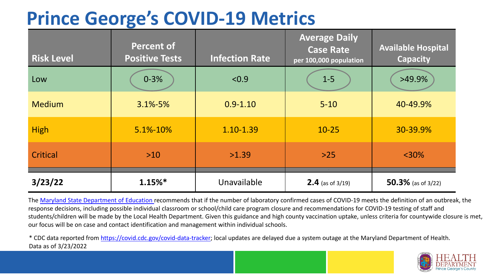## **Prince George's COVID-19 Metrics**

| <b>Risk Level</b> | <b>Percent of</b><br><b>Positive Tests</b> | <b>Infection Rate</b> | <b>Average Daily</b><br><b>Case Rate</b><br>per 100,000 population | <b>Available Hospital</b><br><b>Capacity</b> |
|-------------------|--------------------------------------------|-----------------------|--------------------------------------------------------------------|----------------------------------------------|
| Low               | $0 - 3%$                                   | < 0.9                 | $1-5$                                                              | $>49.9\%$                                    |
| <b>Medium</b>     | $3.1\% - 5\%$                              | $0.9 - 1.10$          | $5 - 10$                                                           | 40-49.9%                                     |
| <b>High</b>       | 5.1%-10%                                   | 1.10-1.39             | $10 - 25$                                                          | 30-39.9%                                     |
| Critical          | $>10$                                      | >1.39                 | $>25$                                                              | $<$ 30%                                      |
| 3/23/22           | $1.15%$ *                                  | Unavailable           | <b>2.4</b> (as of $3/19$ )                                         | 50.3% (as of $3/22$ )                        |

The [Maryland State Department of Education](https://earlychildhood.marylandpublicschools.org/system/files/filedepot/3/covid_guidance_full_080420.pdf) recommends that if the number of laboratory confirmed cases of COVID-19 meets the definition of an outbreak, the response decisions, including possible individual classroom or school/child care program closure and recommendations for COVID-19 testing of staff and students/children will be made by the Local Health Department. Given this guidance and high county vaccination uptake, unless criteria for countywide closure is met, our focus will be on case and contact identification and management within individual schools.

\* CDC data reported from [https://covid.cdc.gov/covid-data-tracker;](https://covid.cdc.gov/covid-data-tracker) local updates are delayed due a system outage at the Maryland Department of Health. Data as of 3/23/2022

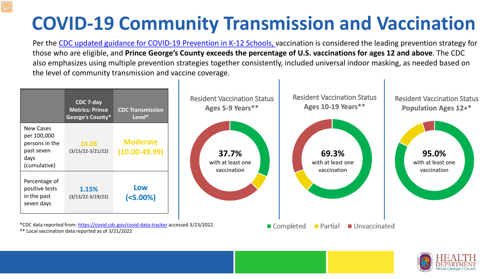# **COVID-19 Community Transmission and Vaccination**

Per the [CDC updated guidance for COVID-19 Prevention in K-12 Schools,](https://www.cdc.gov/coronavirus/2019-ncov/community/schools-childcare/k-12-guidance.html) vaccination is considered the leading prevention strategy for those who are eligible, and **Prince George's County exceeds the percentage of U.S. vaccinations for ages 12 and above**. The CDC also emphasizes using multiple prevention strategies together consistently, included universal indoor masking, as needed based on the level of community transmission and vaccine coverage.



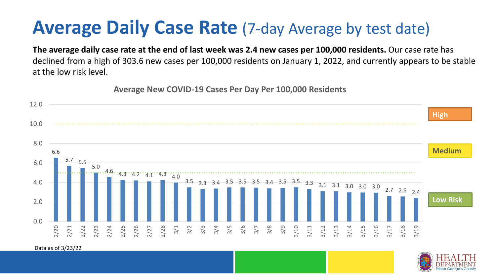### **Average Daily Case Rate** (7-day Average by test date)

**The average daily case rate at the end of last week was 2.4 new cases per 100,000 residents.** Our case rate has declined from a high of 303.6 new cases per 100,000 residents on January 1, 2022, and currently appears to be stable at the low risk level.

**Average New COVID-19 Cases Per Day Per 100,000 Residents**